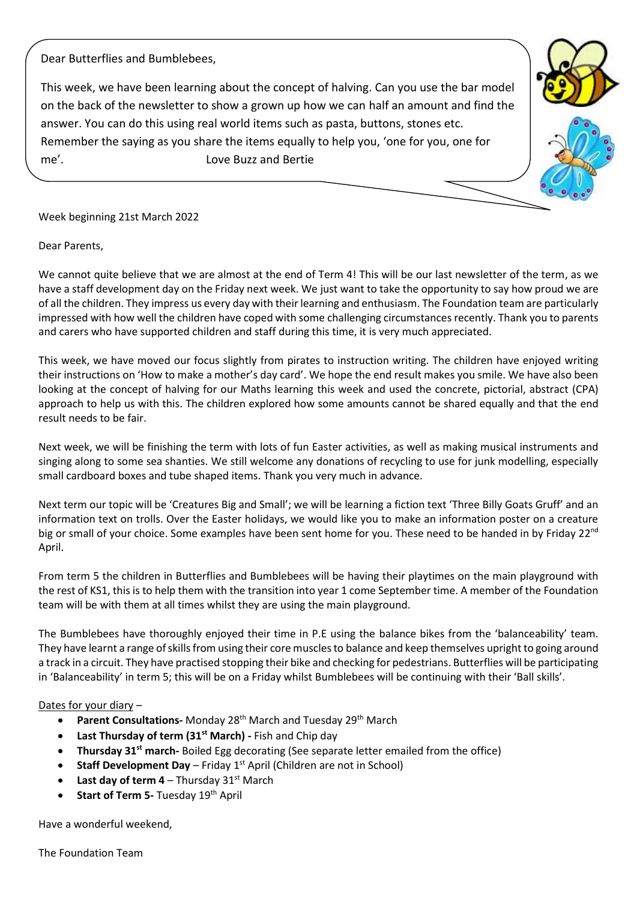Dear Butterflies and Bumblebees,

This week, we have been learning about the concept of halving. Can you use the bar model on the back of the newsletter to show a grown up how we can half an amount and find the answer. You can do this using real world items such as pasta, buttons, stones etc. Remember the saying as you share the items equally to help you, 'one for you, one for me'. Love Buzz and Bertie

Week beginning 21st March 2022

Dear Parents,

We cannot quite believe that we are almost at the end of Term 4! This will be our last newsletter of the term, as we have a staff development day on the Friday next week. We just want to take the opportunity to say how proud we are of all the children. They impress us every day with their learning and enthusiasm. The Foundation team are particularly impressed with how well the children have coped with some challenging circumstances recently. Thank you to parents and carers who have supported children and staff during this time, it is very much appreciated.

This week, we have moved our focus slightly from pirates to instruction writing. The children have enjoyed writing their instructions on 'How to make a mother's day card'. We hope the end result makes you smile. We have also been looking at the concept of halving for our Maths learning this week and used the concrete, pictorial, abstract (CPA) approach to help us with this. The children explored how some amounts cannot be shared equally and that the end result needs to be fair.

Next week, we will be finishing the term with lots of fun Easter activities, as well as making musical instruments and singing along to some sea shanties. We still welcome any donations of recycling to use for junk modelling, especially small cardboard boxes and tube shaped items. Thank you very much in advance.

Next term our topic will be 'Creatures Big and Small'; we will be learning a fiction text 'Three Billy Goats Gruff' and an information text on trolls. Over the Easter holidays, we would like you to make an information poster on a creature big or small of your choice. Some examples have been sent home for you. These need to be handed in by Friday 22<sup>nd</sup> April.

From term 5 the children in Butterflies and Bumblebees will be having their playtimes on the main playground with the rest of KS1, this is to help them with the transition into year 1 come September time. A member of the Foundation team will be with them at all times whilst they are using the main playground.

The Bumblebees have thoroughly enjoyed their time in P.E using the balance bikes from the 'balanceability' team. They have learnt a range of skills from using their core muscles to balance and keep themselves upright to going around a track in a circuit. They have practised stopping their bike and checking for pedestrians. Butterflies will be participating in 'Balanceability' in term 5; this will be on a Friday whilst Bumblebees will be continuing with their 'Ball skills'.

## Dates for your diary –

- **Parent Consultations-** Monday 28<sup>th</sup> March and Tuesday 29<sup>th</sup> March
- **Last Thursday of term (31st March) -** Fish and Chip day
- **Thursday 31st march-** Boiled Egg decorating (See separate letter emailed from the office)
- **Staff Development Day** Friday  $1^{st}$  April (Children are not in School)
- **Last day of term 4** Thursday  $31^{st}$  March
- **Start of Term 5- Tuesday 19th April**

Have a wonderful weekend,